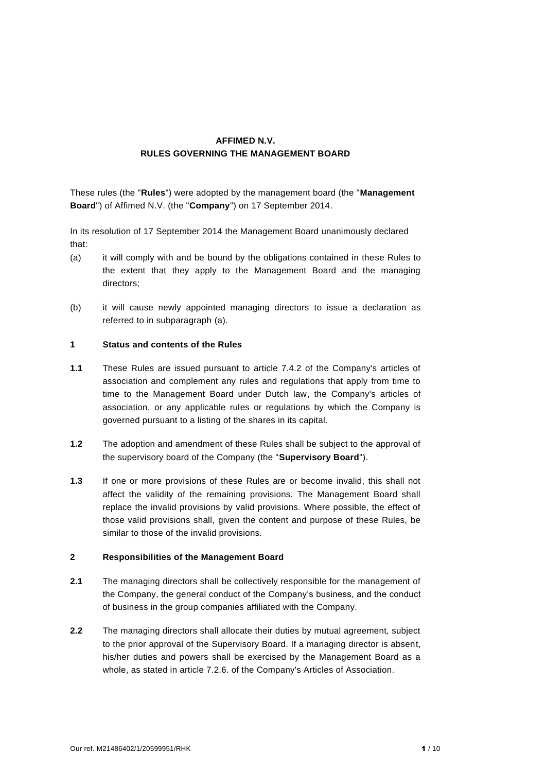# **AFFIMED N.V. RULES GOVERNING THE MANAGEMENT BOARD**

These rules (the "**Rules**") were adopted by the management board (the "**Management Board**") of Affimed N.V. (the "**Company**") on 17 September 2014.

In its resolution of 17 September 2014 the Management Board unanimously declared that:

- (a) it will comply with and be bound by the obligations contained in these Rules to the extent that they apply to the Management Board and the managing directors;
- (b) it will cause newly appointed managing directors to issue a declaration as referred to in subparagraph (a).

### **1 Status and contents of the Rules**

- **1.1** These Rules are issued pursuant to article 7.4.2 of the Company's articles of association and complement any rules and regulations that apply from time to time to the Management Board under Dutch law, the Company's articles of association, or any applicable rules or regulations by which the Company is governed pursuant to a listing of the shares in its capital.
- **1.2** The adoption and amendment of these Rules shall be subject to the approval of the supervisory board of the Company (the "**Supervisory Board**").
- **1.3** If one or more provisions of these Rules are or become invalid, this shall not affect the validity of the remaining provisions. The Management Board shall replace the invalid provisions by valid provisions. Where possible, the effect of those valid provisions shall, given the content and purpose of these Rules, be similar to those of the invalid provisions.

## **2 Responsibilities of the Management Board**

- **2.1** The managing directors shall be collectively responsible for the management of the Company, the general conduct of the Company's business, and the conduct of business in the group companies affiliated with the Company.
- **2.2** The managing directors shall allocate their duties by mutual agreement, subject to the prior approval of the Supervisory Board. If a managing director is absent, his/her duties and powers shall be exercised by the Management Board as a whole, as stated in article 7.2.6. of the Company's Articles of Association.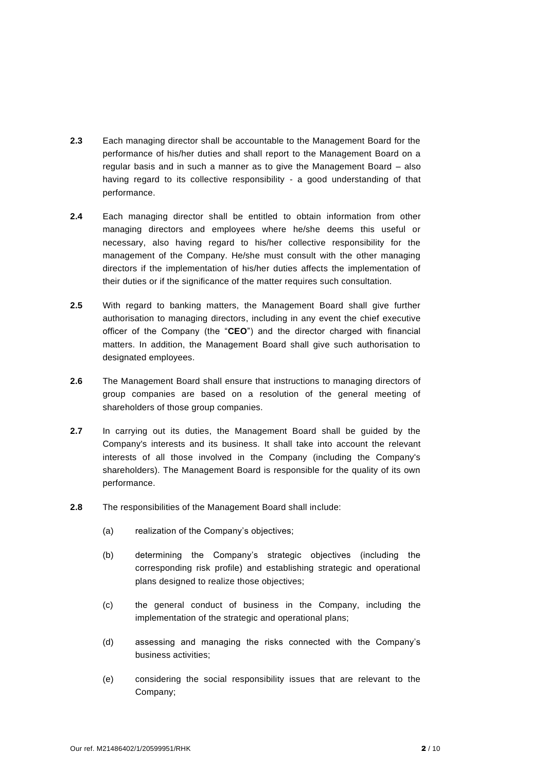- **2.3** Each managing director shall be accountable to the Management Board for the performance of his/her duties and shall report to the Management Board on a regular basis and in such a manner as to give the Management Board – also having regard to its collective responsibility - a good understanding of that performance.
- **2.4** Each managing director shall be entitled to obtain information from other managing directors and employees where he/she deems this useful or necessary, also having regard to his/her collective responsibility for the management of the Company. He/she must consult with the other managing directors if the implementation of his/her duties affects the implementation of their duties or if the significance of the matter requires such consultation.
- **2.5** With regard to banking matters, the Management Board shall give further authorisation to managing directors, including in any event the chief executive officer of the Company (the "**CEO**") and the director charged with financial matters. In addition, the Management Board shall give such authorisation to designated employees.
- **2.6** The Management Board shall ensure that instructions to managing directors of group companies are based on a resolution of the general meeting of shareholders of those group companies.
- **2.7** In carrying out its duties, the Management Board shall be guided by the Company's interests and its business. It shall take into account the relevant interests of all those involved in the Company (including the Company's shareholders). The Management Board is responsible for the quality of its own performance.
- **2.8** The responsibilities of the Management Board shall include:
	- (a) realization of the Company's objectives;
	- (b) determining the Company's strategic objectives (including the corresponding risk profile) and establishing strategic and operational plans designed to realize those objectives;
	- (c) the general conduct of business in the Company, including the implementation of the strategic and operational plans;
	- (d) assessing and managing the risks connected with the Company's business activities;
	- (e) considering the social responsibility issues that are relevant to the Company;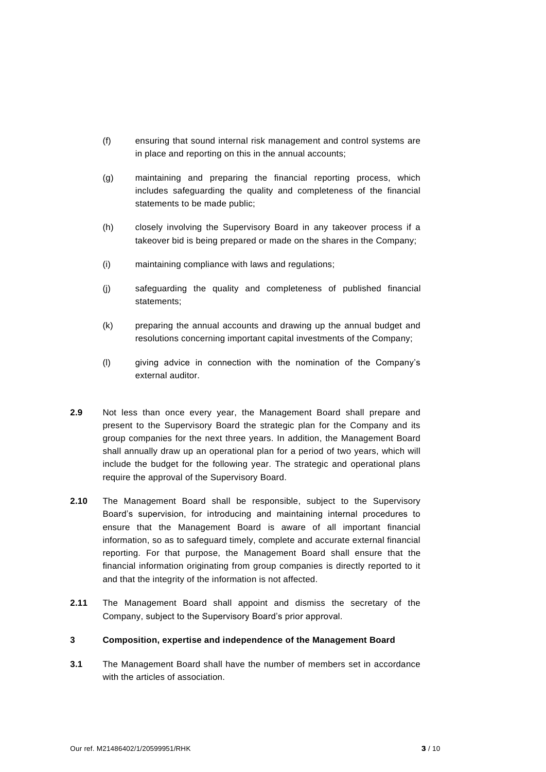- (f) ensuring that sound internal risk management and control systems are in place and reporting on this in the annual accounts;
- (g) maintaining and preparing the financial reporting process, which includes safeguarding the quality and completeness of the financial statements to be made public;
- (h) closely involving the Supervisory Board in any takeover process if a takeover bid is being prepared or made on the shares in the Company;
- (i) maintaining compliance with laws and regulations;
- (j) safeguarding the quality and completeness of published financial statements;
- (k) preparing the annual accounts and drawing up the annual budget and resolutions concerning important capital investments of the Company;
- (l) giving advice in connection with the nomination of the Company's external auditor.
- **2.9** Not less than once every year, the Management Board shall prepare and present to the Supervisory Board the strategic plan for the Company and its group companies for the next three years. In addition, the Management Board shall annually draw up an operational plan for a period of two years, which will include the budget for the following year. The strategic and operational plans require the approval of the Supervisory Board.
- **2.10** The Management Board shall be responsible, subject to the Supervisory Board's supervision, for introducing and maintaining internal procedures to ensure that the Management Board is aware of all important financial information, so as to safeguard timely, complete and accurate external financial reporting. For that purpose, the Management Board shall ensure that the financial information originating from group companies is directly reported to it and that the integrity of the information is not affected.
- **2.11** The Management Board shall appoint and dismiss the secretary of the Company, subject to the Supervisory Board's prior approval.

## **3 Composition, expertise and independence of the Management Board**

**3.1** The Management Board shall have the number of members set in accordance with the articles of association.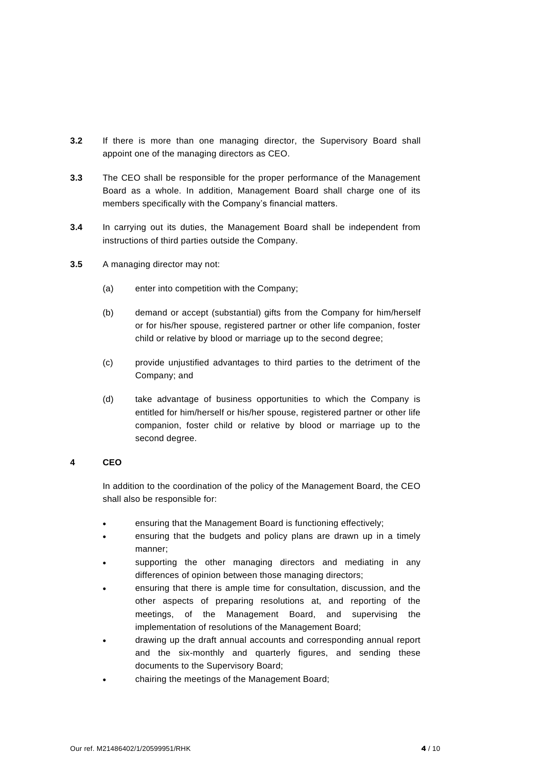- **3.2** If there is more than one managing director, the Supervisory Board shall appoint one of the managing directors as CEO.
- **3.3** The CEO shall be responsible for the proper performance of the Management Board as a whole. In addition, Management Board shall charge one of its members specifically with the Company's financial matters.
- **3.4** In carrying out its duties, the Management Board shall be independent from instructions of third parties outside the Company.
- **3.5** A managing director may not:
	- (a) enter into competition with the Company;
	- (b) demand or accept (substantial) gifts from the Company for him/herself or for his/her spouse, registered partner or other life companion, foster child or relative by blood or marriage up to the second degree;
	- (c) provide unjustified advantages to third parties to the detriment of the Company; and
	- (d) take advantage of business opportunities to which the Company is entitled for him/herself or his/her spouse, registered partner or other life companion, foster child or relative by blood or marriage up to the second degree.

## **4 CEO**

In addition to the coordination of the policy of the Management Board, the CEO shall also be responsible for:

- ensuring that the Management Board is functioning effectively;
- ensuring that the budgets and policy plans are drawn up in a timely manner;
- supporting the other managing directors and mediating in any differences of opinion between those managing directors;
- ensuring that there is ample time for consultation, discussion, and the other aspects of preparing resolutions at, and reporting of the meetings, of the Management Board, and supervising the implementation of resolutions of the Management Board;
- drawing up the draft annual accounts and corresponding annual report and the six-monthly and quarterly figures, and sending these documents to the Supervisory Board;
- chairing the meetings of the Management Board;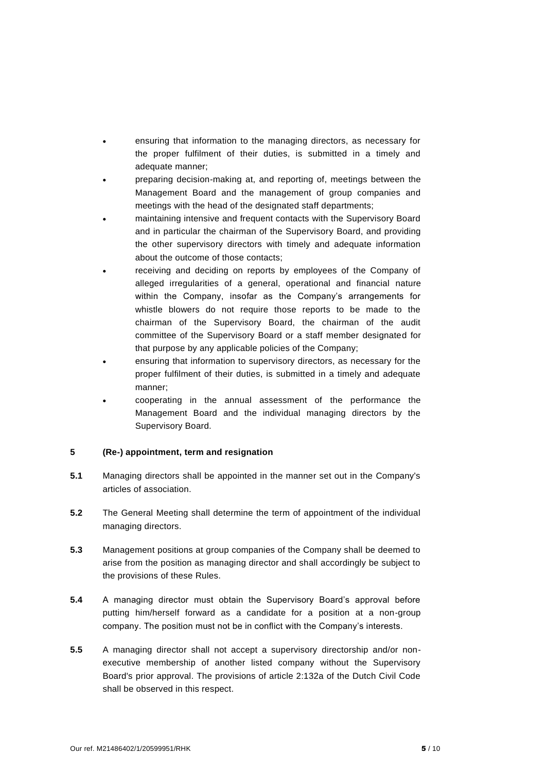- ensuring that information to the managing directors, as necessary for the proper fulfilment of their duties, is submitted in a timely and adequate manner;
- preparing decision-making at, and reporting of, meetings between the Management Board and the management of group companies and meetings with the head of the designated staff departments;
- maintaining intensive and frequent contacts with the Supervisory Board and in particular the chairman of the Supervisory Board, and providing the other supervisory directors with timely and adequate information about the outcome of those contacts;
- receiving and deciding on reports by employees of the Company of alleged irregularities of a general, operational and financial nature within the Company, insofar as the Company's arrangements for whistle blowers do not require those reports to be made to the chairman of the Supervisory Board, the chairman of the audit committee of the Supervisory Board or a staff member designated for that purpose by any applicable policies of the Company;
- ensuring that information to supervisory directors, as necessary for the proper fulfilment of their duties, is submitted in a timely and adequate manner;
- cooperating in the annual assessment of the performance the Management Board and the individual managing directors by the Supervisory Board.

## **5 (Re-) appointment, term and resignation**

- **5.1** Managing directors shall be appointed in the manner set out in the Company's articles of association.
- **5.2** The General Meeting shall determine the term of appointment of the individual managing directors.
- **5.3** Management positions at group companies of the Company shall be deemed to arise from the position as managing director and shall accordingly be subject to the provisions of these Rules.
- **5.4** A managing director must obtain the Supervisory Board's approval before putting him/herself forward as a candidate for a position at a non-group company. The position must not be in conflict with the Company's interests.
- **5.5** A managing director shall not accept a supervisory directorship and/or nonexecutive membership of another listed company without the Supervisory Board's prior approval. The provisions of article 2:132a of the Dutch Civil Code shall be observed in this respect.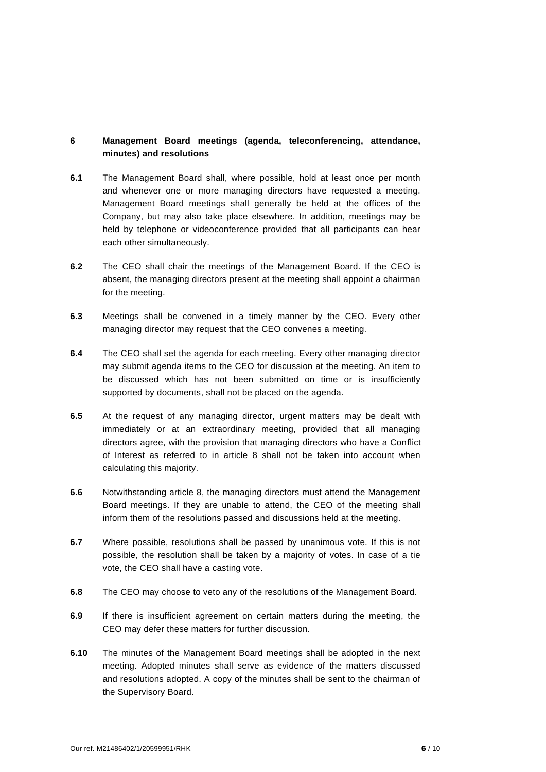# **6 Management Board meetings (agenda, teleconferencing, attendance, minutes) and resolutions**

- **6.1** The Management Board shall, where possible, hold at least once per month and whenever one or more managing directors have requested a meeting. Management Board meetings shall generally be held at the offices of the Company, but may also take place elsewhere. In addition, meetings may be held by telephone or videoconference provided that all participants can hear each other simultaneously.
- **6.2** The CEO shall chair the meetings of the Management Board. If the CEO is absent, the managing directors present at the meeting shall appoint a chairman for the meeting.
- **6.3** Meetings shall be convened in a timely manner by the CEO. Every other managing director may request that the CEO convenes a meeting.
- **6.4** The CEO shall set the agenda for each meeting. Every other managing director may submit agenda items to the CEO for discussion at the meeting. An item to be discussed which has not been submitted on time or is insufficiently supported by documents, shall not be placed on the agenda.
- **6.5** At the request of any managing director, urgent matters may be dealt with immediately or at an extraordinary meeting, provided that all managing directors agree, with the provision that managing directors who have a Conflict of Interest as referred to in article 8 shall not be taken into account when calculating this majority.
- **6.6** Notwithstanding article 8, the managing directors must attend the Management Board meetings. If they are unable to attend, the CEO of the meeting shall inform them of the resolutions passed and discussions held at the meeting.
- **6.7** Where possible, resolutions shall be passed by unanimous vote. If this is not possible, the resolution shall be taken by a majority of votes. In case of a tie vote, the CEO shall have a casting vote.
- **6.8** The CEO may choose to veto any of the resolutions of the Management Board.
- **6.9** If there is insufficient agreement on certain matters during the meeting, the CEO may defer these matters for further discussion.
- **6.10** The minutes of the Management Board meetings shall be adopted in the next meeting. Adopted minutes shall serve as evidence of the matters discussed and resolutions adopted. A copy of the minutes shall be sent to the chairman of the Supervisory Board.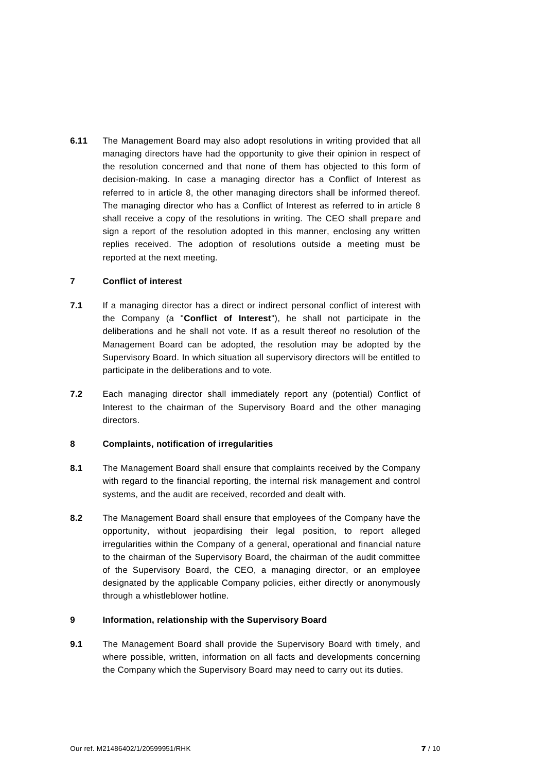**6.11** The Management Board may also adopt resolutions in writing provided that all managing directors have had the opportunity to give their opinion in respect of the resolution concerned and that none of them has objected to this form of decision-making. In case a managing director has a Conflict of Interest as referred to in article 8, the other managing directors shall be informed thereof. The managing director who has a Conflict of Interest as referred to in article 8 shall receive a copy of the resolutions in writing. The CEO shall prepare and sign a report of the resolution adopted in this manner, enclosing any written replies received. The adoption of resolutions outside a meeting must be reported at the next meeting.

### **7 Conflict of interest**

- **7.1** If a managing director has a direct or indirect personal conflict of interest with the Company (a "**Conflict of Interest**"), he shall not participate in the deliberations and he shall not vote. If as a result thereof no resolution of the Management Board can be adopted, the resolution may be adopted by the Supervisory Board. In which situation all supervisory directors will be entitled to participate in the deliberations and to vote.
- **7.2** Each managing director shall immediately report any (potential) Conflict of Interest to the chairman of the Supervisory Board and the other managing directors.

## **8 Complaints, notification of irregularities**

- **8.1** The Management Board shall ensure that complaints received by the Company with regard to the financial reporting, the internal risk management and control systems, and the audit are received, recorded and dealt with.
- **8.2** The Management Board shall ensure that employees of the Company have the opportunity, without jeopardising their legal position, to report alleged irregularities within the Company of a general, operational and financial nature to the chairman of the Supervisory Board, the chairman of the audit committee of the Supervisory Board, the CEO, a managing director, or an employee designated by the applicable Company policies, either directly or anonymously through a whistleblower hotline.

## **9 Information, relationship with the Supervisory Board**

**9.1** The Management Board shall provide the Supervisory Board with timely, and where possible, written, information on all facts and developments concerning the Company which the Supervisory Board may need to carry out its duties.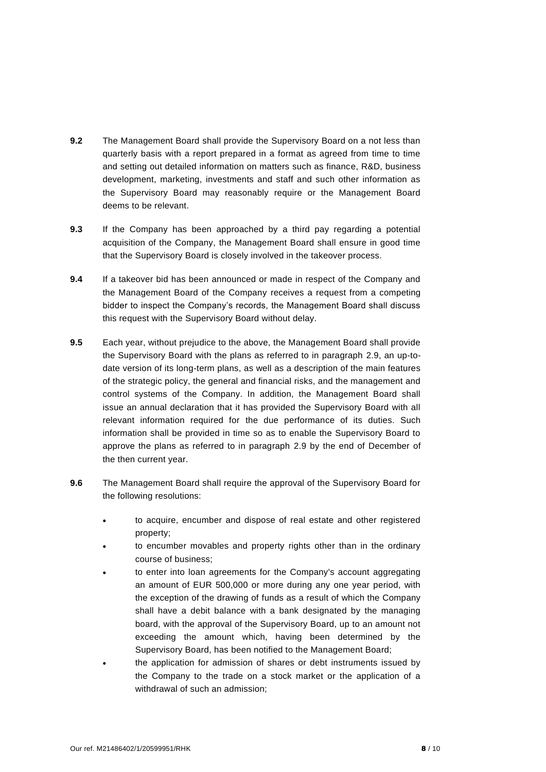- **9.2** The Management Board shall provide the Supervisory Board on a not less than quarterly basis with a report prepared in a format as agreed from time to time and setting out detailed information on matters such as finance, R&D, business development, marketing, investments and staff and such other information as the Supervisory Board may reasonably require or the Management Board deems to be relevant.
- **9.3** If the Company has been approached by a third pay regarding a potential acquisition of the Company, the Management Board shall ensure in good time that the Supervisory Board is closely involved in the takeover process.
- **9.4** If a takeover bid has been announced or made in respect of the Company and the Management Board of the Company receives a request from a competing bidder to inspect the Company's records, the Management Board shall discuss this request with the Supervisory Board without delay.
- **9.5** Each year, without prejudice to the above, the Management Board shall provide the Supervisory Board with the plans as referred to in paragraph 2.9, an up-todate version of its long-term plans, as well as a description of the main features of the strategic policy, the general and financial risks, and the management and control systems of the Company. In addition, the Management Board shall issue an annual declaration that it has provided the Supervisory Board with all relevant information required for the due performance of its duties. Such information shall be provided in time so as to enable the Supervisory Board to approve the plans as referred to in paragraph 2.9 by the end of December of the then current year.
- **9.6** The Management Board shall require the approval of the Supervisory Board for the following resolutions:
	- to acquire, encumber and dispose of real estate and other registered property;
	- to encumber movables and property rights other than in the ordinary course of business;
	- to enter into loan agreements for the Company's account aggregating an amount of EUR 500,000 or more during any one year period, with the exception of the drawing of funds as a result of which the Company shall have a debit balance with a bank designated by the managing board, with the approval of the Supervisory Board, up to an amount not exceeding the amount which, having been determined by the Supervisory Board, has been notified to the Management Board;
	- the application for admission of shares or debt instruments issued by the Company to the trade on a stock market or the application of a withdrawal of such an admission;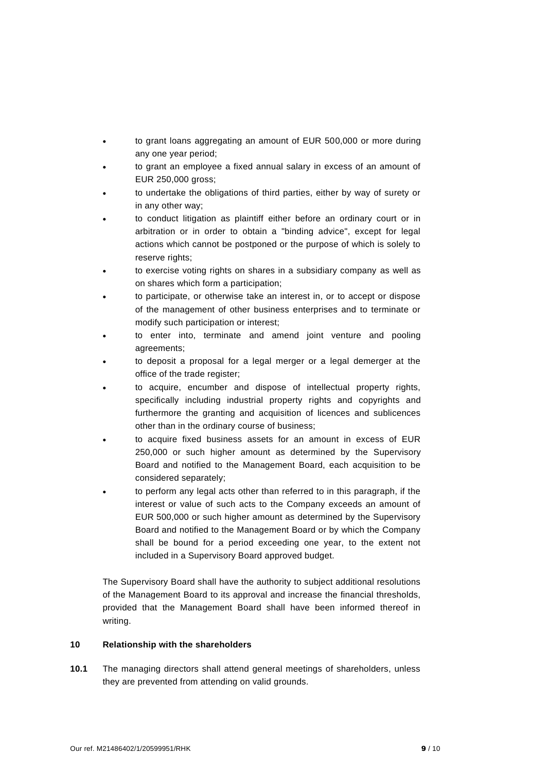- to grant loans aggregating an amount of EUR 500,000 or more during any one year period;
- to grant an employee a fixed annual salary in excess of an amount of EUR 250,000 gross;
- to undertake the obligations of third parties, either by way of surety or in any other way;
- to conduct litigation as plaintiff either before an ordinary court or in arbitration or in order to obtain a "binding advice", except for legal actions which cannot be postponed or the purpose of which is solely to reserve rights:
- to exercise voting rights on shares in a subsidiary company as well as on shares which form a participation;
- to participate, or otherwise take an interest in, or to accept or dispose of the management of other business enterprises and to terminate or modify such participation or interest;
- to enter into, terminate and amend joint venture and pooling agreements;
- to deposit a proposal for a legal merger or a legal demerger at the office of the trade register;
- to acquire, encumber and dispose of intellectual property rights, specifically including industrial property rights and copyrights and furthermore the granting and acquisition of licences and sublicences other than in the ordinary course of business;
- to acquire fixed business assets for an amount in excess of EUR 250,000 or such higher amount as determined by the Supervisory Board and notified to the Management Board, each acquisition to be considered separately;
- to perform any legal acts other than referred to in this paragraph, if the interest or value of such acts to the Company exceeds an amount of EUR 500,000 or such higher amount as determined by the Supervisory Board and notified to the Management Board or by which the Company shall be bound for a period exceeding one year, to the extent not included in a Supervisory Board approved budget.

The Supervisory Board shall have the authority to subject additional resolutions of the Management Board to its approval and increase the financial thresholds, provided that the Management Board shall have been informed thereof in writing.

### **10 Relationship with the shareholders**

**10.1** The managing directors shall attend general meetings of shareholders, unless they are prevented from attending on valid grounds.